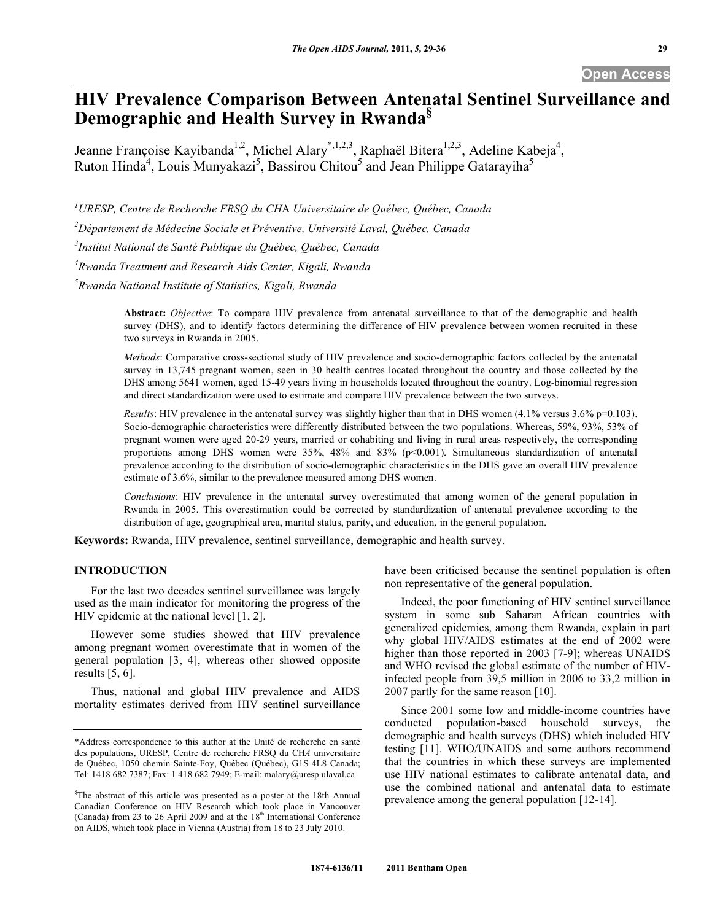**Open Access** 

# **HIV Prevalence Comparison Between Antenatal Sentinel Surveillance and Demographic and Health Survey in Rwanda§**

Jeanne Françoise Kayibanda<sup>1,2</sup>, Michel Alary<sup>\*,1,2,3</sup>, Raphaël Bitera<sup>1,2,3</sup>, Adeline Kabeja<sup>4</sup>, Ruton Hinda<sup>4</sup>, Louis Munyakazi<sup>5</sup>, Bassirou Chitou<sup>5</sup> and Jean Philippe Gatarayiha<sup>5</sup>

*1 URESP, Centre de Recherche FRSQ du CH*A *Universitaire de Québec, Québec, Canada* 

*2 Département de Médecine Sociale et Préventive, Université Laval, Québec, Canada* 

*3 Institut National de Santé Publique du Québec, Québec, Canada* 

*4 Rwanda Treatment and Research Aids Center, Kigali, Rwanda* 

*5 Rwanda National Institute of Statistics, Kigali, Rwanda* 

**Abstract:** *Objective*: To compare HIV prevalence from antenatal surveillance to that of the demographic and health survey (DHS), and to identify factors determining the difference of HIV prevalence between women recruited in these two surveys in Rwanda in 2005.

*Methods*: Comparative cross-sectional study of HIV prevalence and socio-demographic factors collected by the antenatal survey in 13,745 pregnant women, seen in 30 health centres located throughout the country and those collected by the DHS among 5641 women, aged 15-49 years living in households located throughout the country. Log-binomial regression and direct standardization were used to estimate and compare HIV prevalence between the two surveys.

*Results*: HIV prevalence in the antenatal survey was slightly higher than that in DHS women (4.1% versus 3.6% p=0.103). Socio-demographic characteristics were differently distributed between the two populations. Whereas, 59%, 93%, 53% of pregnant women were aged 20-29 years, married or cohabiting and living in rural areas respectively, the corresponding proportions among DHS women were 35%, 48% and 83% (p<0.001). Simultaneous standardization of antenatal prevalence according to the distribution of socio-demographic characteristics in the DHS gave an overall HIV prevalence estimate of 3.6%, similar to the prevalence measured among DHS women.

*Conclusions*: HIV prevalence in the antenatal survey overestimated that among women of the general population in Rwanda in 2005. This overestimation could be corrected by standardization of antenatal prevalence according to the distribution of age, geographical area, marital status, parity, and education, in the general population.

**Keywords:** Rwanda, HIV prevalence, sentinel surveillance, demographic and health survey.

# **INTRODUCTION**

 For the last two decades sentinel surveillance was largely used as the main indicator for monitoring the progress of the HIV epidemic at the national level [1, 2].

 However some studies showed that HIV prevalence among pregnant women overestimate that in women of the general population [3, 4], whereas other showed opposite results [5, 6].

 Thus, national and global HIV prevalence and AIDS mortality estimates derived from HIV sentinel surveillance have been criticised because the sentinel population is often non representative of the general population.

 Indeed, the poor functioning of HIV sentinel surveillance system in some sub Saharan African countries with generalized epidemics, among them Rwanda, explain in part why global HIV/AIDS estimates at the end of 2002 were higher than those reported in 2003 [7-9]; whereas UNAIDS and WHO revised the global estimate of the number of HIVinfected people from 39,5 million in 2006 to 33,2 million in 2007 partly for the same reason [10].

 Since 2001 some low and middle-income countries have conducted population-based household surveys, the demographic and health surveys (DHS) which included HIV testing [11]. WHO/UNAIDS and some authors recommend that the countries in which these surveys are implemented use HIV national estimates to calibrate antenatal data, and use the combined national and antenatal data to estimate prevalence among the general population [12-14].

<sup>\*</sup>Address correspondence to this author at the Unité de recherche en santé des populations, URESP, Centre de recherche FRSQ du CH*A* universitaire de Québec, 1050 chemin Sainte-Foy, Québec (Québec), G1S 4L8 Canada; Tel: 1418 682 7387; Fax: 1 418 682 7949; E-mail: malary@uresp.ulaval.ca

<sup>§</sup> The abstract of this article was presented as a poster at the 18th Annual Canadian Conference on HIV Research which took place in Vancouver (Canada) from 23 to 26 April 2009 and at the  $18<sup>th</sup>$  International Conference on AIDS, which took place in Vienna (Austria) from 18 to 23 July 2010.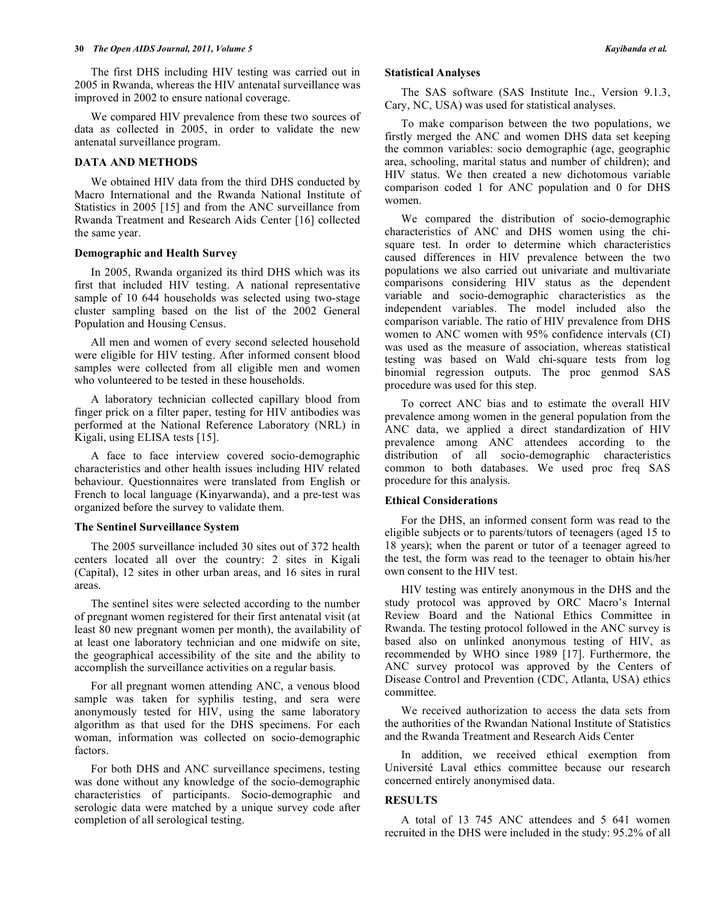The first DHS including HIV testing was carried out in 2005 in Rwanda, whereas the HIV antenatal surveillance was improved in 2002 to ensure national coverage.

 We compared HIV prevalence from these two sources of data as collected in 2005, in order to validate the new antenatal surveillance program.

### **DATA AND METHODS**

 We obtained HIV data from the third DHS conducted by Macro International and the Rwanda National Institute of Statistics in 2005 [15] and from the ANC surveillance from Rwanda Treatment and Research Aids Center [16] collected the same year.

# **Demographic and Health Survey**

 In 2005, Rwanda organized its third DHS which was its first that included HIV testing. A national representative sample of 10 644 households was selected using two-stage cluster sampling based on the list of the 2002 General Population and Housing Census.

 All men and women of every second selected household were eligible for HIV testing. After informed consent blood samples were collected from all eligible men and women who volunteered to be tested in these households.

 A laboratory technician collected capillary blood from finger prick on a filter paper, testing for HIV antibodies was performed at the National Reference Laboratory (NRL) in Kigali, using ELISA tests [15].

 A face to face interview covered socio-demographic characteristics and other health issues including HIV related behaviour. Questionnaires were translated from English or French to local language (Kinyarwanda), and a pre-test was organized before the survey to validate them.

### **The Sentinel Surveillance System**

 The 2005 surveillance included 30 sites out of 372 health centers located all over the country: 2 sites in Kigali (Capital), 12 sites in other urban areas, and 16 sites in rural areas.

 The sentinel sites were selected according to the number of pregnant women registered for their first antenatal visit (at least 80 new pregnant women per month), the availability of at least one laboratory technician and one midwife on site, the geographical accessibility of the site and the ability to accomplish the surveillance activities on a regular basis.

 For all pregnant women attending ANC, a venous blood sample was taken for syphilis testing, and sera were anonymously tested for HIV, using the same laboratory algorithm as that used for the DHS specimens. For each woman, information was collected on socio-demographic factors.

 For both DHS and ANC surveillance specimens, testing was done without any knowledge of the socio-demographic characteristics of participants. Socio-demographic and serologic data were matched by a unique survey code after completion of all serological testing.

### **Statistical Analyses**

 The SAS software (SAS Institute Inc., Version 9.1.3, Cary, NC, USA) was used for statistical analyses.

 To make comparison between the two populations, we firstly merged the ANC and women DHS data set keeping the common variables: socio demographic (age, geographic area, schooling, marital status and number of children); and HIV status. We then created a new dichotomous variable comparison coded 1 for ANC population and 0 for DHS women.

 We compared the distribution of socio-demographic characteristics of ANC and DHS women using the chisquare test. In order to determine which characteristics caused differences in HIV prevalence between the two populations we also carried out univariate and multivariate comparisons considering HIV status as the dependent variable and socio-demographic characteristics as the independent variables. The model included also the comparison variable. The ratio of HIV prevalence from DHS women to ANC women with 95% confidence intervals (CI) was used as the measure of association, whereas statistical testing was based on Wald chi-square tests from log binomial regression outputs. The proc genmod SAS procedure was used for this step.

 To correct ANC bias and to estimate the overall HIV prevalence among women in the general population from the ANC data, we applied a direct standardization of HIV prevalence among ANC attendees according to the distribution of all socio-demographic characteristics common to both databases. We used proc freq SAS procedure for this analysis.

# **Ethical Considerations**

 For the DHS, an informed consent form was read to the eligible subjects or to parents/tutors of teenagers (aged 15 to 18 years); when the parent or tutor of a teenager agreed to the test, the form was read to the teenager to obtain his/her own consent to the HIV test.

 HIV testing was entirely anonymous in the DHS and the study protocol was approved by ORC Macro's Internal Review Board and the National Ethics Committee in Rwanda. The testing protocol followed in the ANC survey is based also on unlinked anonymous testing of HIV, as recommended by WHO since 1989 [17]. Furthermore, the ANC survey protocol was approved by the Centers of Disease Control and Prevention (CDC, Atlanta, USA) ethics committee.

 We received authorization to access the data sets from the authorities of the Rwandan National Institute of Statistics and the Rwanda Treatment and Research Aids Center

 In addition, we received ethical exemption from Université Laval ethics committee because our research concerned entirely anonymised data.

# **RESULTS**

 A total of 13 745 ANC attendees and 5 641 women recruited in the DHS were included in the study: 95.2% of all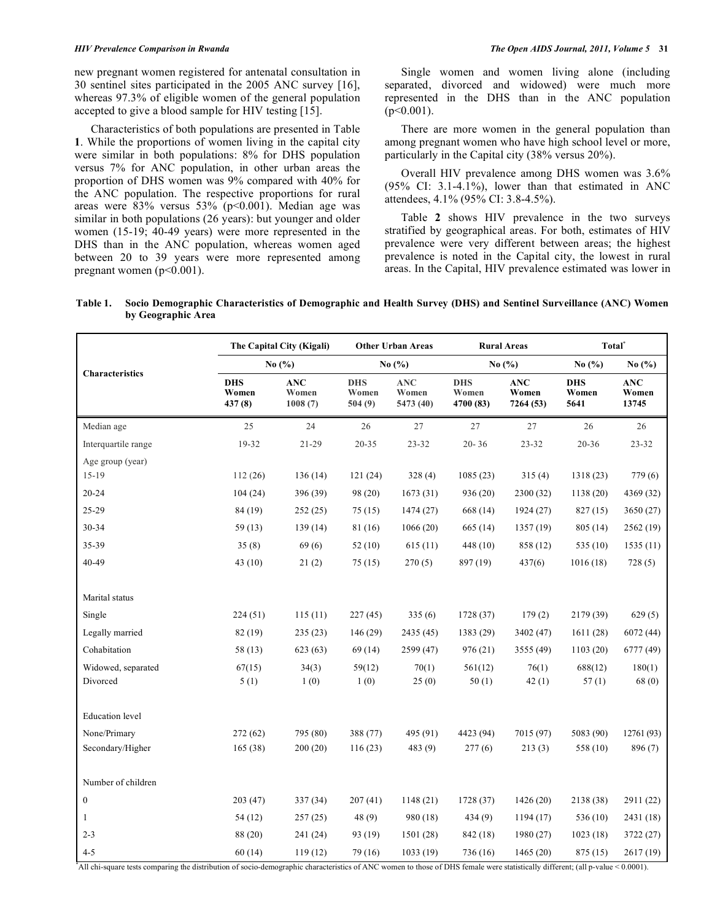new pregnant women registered for antenatal consultation in 30 sentinel sites participated in the 2005 ANC survey [16], whereas 97.3% of eligible women of the general population accepted to give a blood sample for HIV testing [15].

 Characteristics of both populations are presented in Table **1**. While the proportions of women living in the capital city were similar in both populations: 8% for DHS population versus 7% for ANC population, in other urban areas the proportion of DHS women was 9% compared with 40% for the ANC population. The respective proportions for rural areas were  $83\%$  versus  $53\%$  (p<0.001). Median age was similar in both populations (26 years): but younger and older women (15-19; 40-49 years) were more represented in the DHS than in the ANC population, whereas women aged between 20 to 39 years were more represented among pregnant women  $(p<0.001)$ .

 Single women and women living alone (including separated, divorced and widowed) were much more represented in the DHS than in the ANC population  $(p<0.001)$ .

 There are more women in the general population than among pregnant women who have high school level or more, particularly in the Capital city (38% versus 20%).

 Overall HIV prevalence among DHS women was 3.6% (95% CI: 3.1-4.1%), lower than that estimated in ANC attendees, 4.1% (95% CI: 3.8-4.5%).

 Table **2** shows HIV prevalence in the two surveys stratified by geographical areas. For both, estimates of HIV prevalence were very different between areas; the highest prevalence is noted in the Capital city, the lowest in rural areas. In the Capital, HIV prevalence estimated was lower in

**Table 1. Socio Demographic Characteristics of Demographic and Health Survey (DHS) and Sentinel Surveillance (ANC) Women by Geographic Area** 

|                        | The Capital City (Kigali)<br>No (%) |                                | <b>Other Urban Areas</b><br>No $(\% )$ |                                  |                                  | <b>Rural Areas</b>               | Total <sup>*</sup>          |                              |
|------------------------|-------------------------------------|--------------------------------|----------------------------------------|----------------------------------|----------------------------------|----------------------------------|-----------------------------|------------------------------|
| Characteristics        |                                     |                                |                                        |                                  | No $(\% )$                       |                                  | No $(\% )$                  | No $(\% )$                   |
|                        | <b>DHS</b><br>Women<br>437 (8)      | <b>ANC</b><br>Women<br>1008(7) | <b>DHS</b><br>Women<br>504(9)          | <b>ANC</b><br>Women<br>5473 (40) | <b>DHS</b><br>Women<br>4700 (83) | <b>ANC</b><br>Women<br>7264 (53) | <b>DHS</b><br>Women<br>5641 | <b>ANC</b><br>Women<br>13745 |
| Median age             | 25                                  | 24                             | 26                                     | 27                               | 27                               | 27                               | 26                          | 26                           |
| Interquartile range    | 19-32                               | 21-29                          | $20 - 35$                              | $23 - 32$                        | $20 - 36$                        | $23 - 32$                        | 20-36                       | $23 - 32$                    |
| Age group (year)       |                                     |                                |                                        |                                  |                                  |                                  |                             |                              |
| $15 - 19$              | 112(26)                             | 136(14)                        | 121(24)                                | 328(4)                           | 1085(23)                         | 315(4)                           | 1318(23)                    | 779(6)                       |
| $20 - 24$              | 104(24)                             | 396 (39)                       | 98 (20)                                | 1673(31)                         | 936 (20)                         | 2300 (32)                        | 1138(20)                    | 4369 (32)                    |
| 25-29                  | 84 (19)                             | 252(25)                        | 75(15)                                 | 1474 (27)                        | 668 (14)                         | 1924 (27)                        | 827 (15)                    | 3650(27)                     |
| 30-34                  | 59(13)                              | 139(14)                        | 81 (16)                                | 1066(20)                         | 665 (14)                         | 1357 (19)                        | 805 (14)                    | 2562(19)                     |
| 35-39                  | 35(8)                               | 69(6)                          | 52 (10)                                | 615(11)                          | 448 (10)                         | 858 (12)                         | 535 (10)                    | 1535(11)                     |
| $40 - 49$              | 43(10)                              | 21(2)                          | 75(15)                                 | 270(5)                           | 897 (19)                         | 437(6)                           | 1016(18)                    | 728(5)                       |
| Marital status         |                                     |                                |                                        |                                  |                                  |                                  |                             |                              |
| Single                 | 224(51)                             | 115(11)                        | 227(45)                                | 335(6)                           | 1728 (37)                        | 179(2)                           | 2179 (39)                   | 629(5)                       |
| Legally married        | 82 (19)                             | 235(23)                        | 146 (29)                               | 2435 (45)                        | 1383 (29)                        | 3402 (47)                        | 1611(28)                    | 6072 (44)                    |
| Cohabitation           | 58 (13)                             | 623 (63)                       | 69(14)                                 | 2599 (47)                        | 976 (21)                         | 3555 (49)                        | 1103(20)                    | 6777 (49)                    |
| Widowed, separated     | 67(15)                              | 34(3)                          | 59(12)                                 | 70(1)                            | 561(12)                          | 76(1)                            | 688(12)                     | 180(1)                       |
| Divorced               | 5(1)                                | 1(0)                           | 1(0)                                   | 25(0)                            | 50(1)                            | 42(1)                            | 57(1)                       | 68 (0)                       |
| <b>Education</b> level |                                     |                                |                                        |                                  |                                  |                                  |                             |                              |
| None/Primary           | 272(62)                             | 795 (80)                       | 388 (77)                               | 495 (91)                         | 4423 (94)                        | 7015 (97)                        | 5083 (90)                   | 12761 (93)                   |
| Secondary/Higher       | 165(38)                             | 200(20)                        | 116(23)                                | 483 (9)                          | 277(6)                           | 213(3)                           | 558 (10)                    | 896 (7)                      |
| Number of children     |                                     |                                |                                        |                                  |                                  |                                  |                             |                              |
| $\boldsymbol{0}$       | 203 (47)                            | 337 (34)                       | 207(41)                                | 1148(21)                         | 1728 (37)                        | 1426 (20)                        | 2138 (38)                   | 2911 (22)                    |
| 1                      | 54 (12)                             | 257(25)                        | 48(9)                                  | 980 (18)                         | 434(9)                           | 1194 (17)                        | 536 (10)                    | 2431 (18)                    |
| $2 - 3$                | 88 (20)                             | 241 (24)                       | 93 (19)                                | 1501 (28)                        | 842 (18)                         | 1980 (27)                        | 1023(18)                    | 3722 (27)                    |
| $4 - 5$                | 60(14)                              | 119(12)                        | 79 (16)                                | 1033(19)                         | 736 (16)                         | 1465 (20)                        | 875 (15)                    | 2617(19)                     |

\* All chi-square tests comparing the distribution of socio-demographic characteristics of ANC women to those of DHS female were statistically different; (all p-value < 0.0001).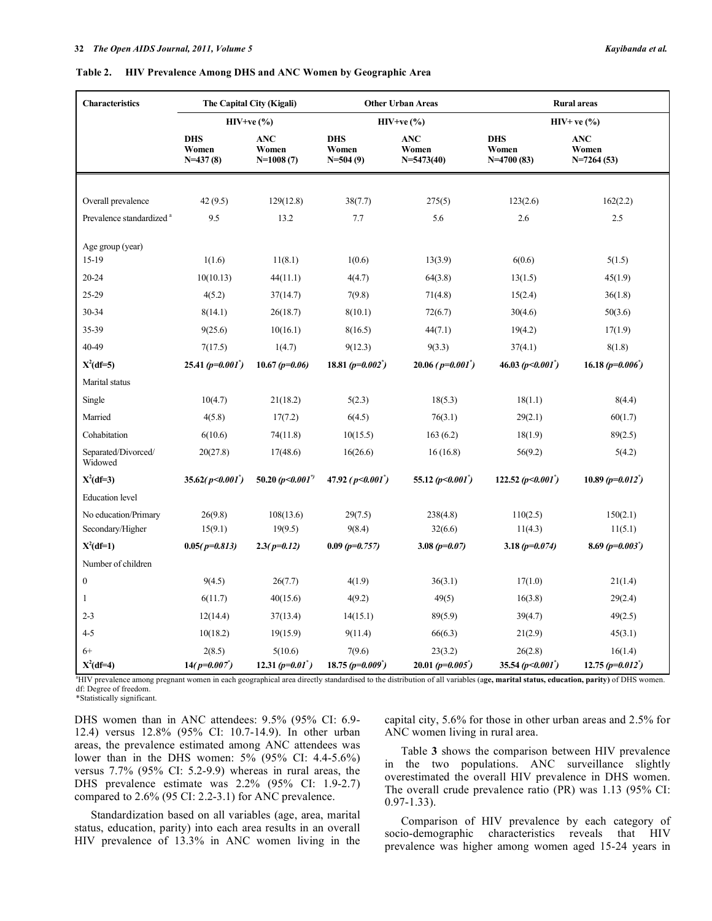### **Table 2. HIV Prevalence Among DHS and ANC Women by Geographic Area**

| <b>Characteristics</b>               | The Capital City (Kigali)         |                                    |                                   | <b>Other Urban Areas</b>              | <b>Rural</b> areas                  |                                     |  |
|--------------------------------------|-----------------------------------|------------------------------------|-----------------------------------|---------------------------------------|-------------------------------------|-------------------------------------|--|
|                                      | $HIV+ve(%)$                       |                                    |                                   | $HIV+ve$ (%)                          | $HIV+ve$ (%)                        |                                     |  |
|                                      | <b>DHS</b><br>Women<br>$N=437(8)$ | <b>ANC</b><br>Women<br>$N=1008(7)$ | <b>DHS</b><br>Women<br>$N=504(9)$ | <b>ANC</b><br>Women<br>$N = 5473(40)$ | <b>DHS</b><br>Women<br>$N=4700(83)$ | <b>ANC</b><br>Women<br>$N=7264(53)$ |  |
|                                      |                                   |                                    |                                   |                                       |                                     |                                     |  |
| Overall prevalence                   | 42(9.5)                           | 129(12.8)                          | 38(7.7)                           | 275(5)                                | 123(2.6)                            | 162(2.2)                            |  |
| Prevalence standardized <sup>a</sup> | 9.5                               | 13.2                               | 7.7                               | 5.6                                   | 2.6                                 | 2.5                                 |  |
|                                      |                                   |                                    |                                   |                                       |                                     |                                     |  |
| Age group (year)<br>$15-19$          | 1(1.6)                            | 11(8.1)                            | 1(0.6)                            | 13(3.9)                               | 6(0.6)                              | 5(1.5)                              |  |
| $20 - 24$                            | 10(10.13)                         | 44(11.1)                           | 4(4.7)                            | 64(3.8)                               | 13(1.5)                             | 45(1.9)                             |  |
| 25-29                                | 4(5.2)                            | 37(14.7)                           | 7(9.8)                            | 71(4.8)                               | 15(2.4)                             | 36(1.8)                             |  |
| 30-34                                | 8(14.1)                           | 26(18.7)                           | 8(10.1)                           |                                       |                                     |                                     |  |
|                                      |                                   |                                    |                                   | 72(6.7)                               | 30(4.6)                             | 50(3.6)                             |  |
| 35-39                                | 9(25.6)                           | 10(16.1)                           | 8(16.5)                           | 44(7.1)                               | 19(4.2)                             | 17(1.9)                             |  |
| 40-49                                | 7(17.5)                           | 1(4.7)                             | 9(12.3)                           | 9(3.3)                                | 37(4.1)                             | 8(1.8)                              |  |
| $X^2(df=5)$                          | 25.41 ( $p=0.001$ )               | 10.67 $(p=0.06)$                   | 18.81 $(p=0.002^{\degree})$       | $20.06(p=0.001)$                      | 46.03 ( $p$ <0.001 <sup>*</sup> )   | 16.18 $(p=0.006)$                   |  |
| Marital status                       |                                   |                                    |                                   |                                       |                                     |                                     |  |
| Single                               | 10(4.7)                           | 21(18.2)                           | 5(2.3)                            | 18(5.3)                               | 18(1.1)                             | 8(4.4)                              |  |
| Married                              | 4(5.8)                            | 17(7.2)                            | 6(4.5)                            | 76(3.1)                               | 29(2.1)                             | 60(1.7)                             |  |
| Cohabitation                         | 6(10.6)                           | 74(11.8)                           | 10(15.5)                          | 163(6.2)                              | 18(1.9)                             | 89(2.5)                             |  |
| Separated/Divorced/<br>Widowed       | 20(27.8)                          | 17(48.6)                           | 16(26.6)                          | 16(16.8)                              | 56(9.2)                             | 5(4.2)                              |  |
| $X^2(df=3)$                          | $35.62(p<0.001^*)$                | 50.20 ( $p$ <0.001 <sup>")</sup>   | 47.92 ( $p<0.001$ <sup>*</sup> )  | 55.12 ( $p$ <0.001 <sup>*</sup> )     | 122.52 ( $p<0.001$ )                | 10.89 ( $p=0.012^{\degree}$ )       |  |
| Education level                      |                                   |                                    |                                   |                                       |                                     |                                     |  |
| No education/Primary                 | 26(9.8)                           | 108(13.6)                          | 29(7.5)                           | 238(4.8)                              | 110(2.5)                            | 150(2.1)                            |  |
| Secondary/Higher                     | 15(9.1)                           | 19(9.5)                            | 9(8.4)                            | 32(6.6)                               | 11(4.3)                             | 11(5.1)                             |  |
| $X^2(df=1)$                          | $0.05(p=0.813)$                   | $2.3(p=0.12)$                      | $0.09$ (p=0.757)                  | 3.08 ( $p=0.07$ )                     | 3.18 $(p=0.074)$                    | 8.69 $(p=0.003^{^{\circ}})$         |  |
| Number of children                   |                                   |                                    |                                   |                                       |                                     |                                     |  |
| $\boldsymbol{0}$                     | 9(4.5)                            | 26(7.7)                            | 4(1.9)                            | 36(3.1)                               | 17(1.0)                             | 21(1.4)                             |  |
| 1                                    | 6(11.7)                           | 40(15.6)                           | 4(9.2)                            | 49(5)                                 | 16(3.8)                             | 29(2.4)                             |  |
| $2 - 3$                              | 12(14.4)                          | 37(13.4)                           | 14(15.1)                          | 89(5.9)                               | 39(4.7)                             | 49(2.5)                             |  |
| $4 - 5$                              | 10(18.2)                          | 19(15.9)                           | 9(11.4)                           | 66(6.3)                               | 21(2.9)                             | 45(3.1)                             |  |
| $6+$                                 | 2(8.5)                            | 5(10.6)                            | 7(9.6)                            | 23(3.2)                               | 26(2.8)                             | 16(1.4)                             |  |
| $X^2(df=4)$                          | $14(p=0.007)$                     | 12.31 ( $p=0.01$ <sup>*</sup> )    | 18.75 $(p=0.009^{\degree})$       | 20.01 ( $p=0.005$ )                   | 35.54 ( $p$ <0.001 <sup>*</sup> )   | 12.75 $(p=0.012^{r})$               |  |

<sup>a</sup>HIV prevalence among pregnant women in each geographical area directly standardised to the distribution of all variables (age, marital status, education, parity) of DHS women. df: Degree of freedom. \*Statistically significant.

DHS women than in ANC attendees: 9.5% (95% CI: 6.9- 12.4) versus 12.8% (95% CI: 10.7-14.9). In other urban areas, the prevalence estimated among ANC attendees was lower than in the DHS women: 5% (95% CI: 4.4-5.6%) versus 7.7% (95% CI: 5.2-9.9) whereas in rural areas, the DHS prevalence estimate was 2.2% (95% CI: 1.9-2.7) compared to 2.6% (95 CI: 2.2-3.1) for ANC prevalence.

 Standardization based on all variables (age, area, marital status, education, parity) into each area results in an overall HIV prevalence of 13.3% in ANC women living in the capital city, 5.6% for those in other urban areas and 2.5% for ANC women living in rural area.

 Table **3** shows the comparison between HIV prevalence in the two populations. ANC surveillance slightly overestimated the overall HIV prevalence in DHS women. The overall crude prevalence ratio (PR) was 1.13 (95% CI: 0.97-1.33).

 Comparison of HIV prevalence by each category of socio-demographic characteristics reveals that HIV prevalence was higher among women aged 15-24 years in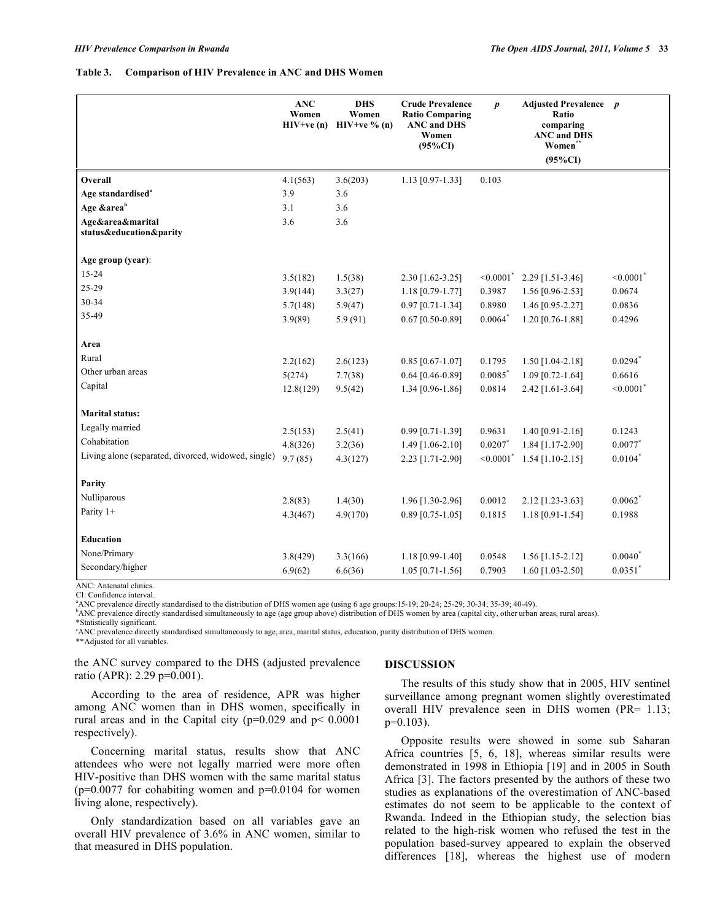### **Table 3. Comparison of HIV Prevalence in ANC and DHS Women**

|                                                     | <b>ANC</b><br>Women<br>$HIV+ve(n)$ | <b>DHS</b><br>Women<br>$HIV+ve \% (n)$ | <b>Crude Prevalence</b><br><b>Ratio Comparing</b><br><b>ANC and DHS</b><br>Women<br>$(95\%CI)$ | $\boldsymbol{p}$           | <b>Adjusted Prevalence</b> p<br>Ratio<br>comparing<br><b>ANC</b> and DHS<br>Women*<br>$(95\%CI)$ |                            |
|-----------------------------------------------------|------------------------------------|----------------------------------------|------------------------------------------------------------------------------------------------|----------------------------|--------------------------------------------------------------------------------------------------|----------------------------|
| Overall                                             | 4.1(563)                           | 3.6(203)                               | 1.13 [0.97-1.33]                                                                               | 0.103                      |                                                                                                  |                            |
| Age standardised <sup>a</sup>                       | 3.9                                | 3.6                                    |                                                                                                |                            |                                                                                                  |                            |
| Age &area <sup>b</sup>                              | 3.1                                | 3.6                                    |                                                                                                |                            |                                                                                                  |                            |
| Age&area&marital<br>status&education&parity         | 3.6                                | 3.6                                    |                                                                                                |                            |                                                                                                  |                            |
| Age group (year):                                   |                                    |                                        |                                                                                                |                            |                                                                                                  |                            |
| 15-24                                               | 3.5(182)                           | 1.5(38)                                | 2.30 [1.62-3.25]                                                                               | $\leq 0.0001$ <sup>*</sup> | 2.29 [1.51-3.46]                                                                                 | $\leq 0.0001$ <sup>*</sup> |
| 25-29                                               | 3.9(144)                           | 3.3(27)                                | 1.18 [0.79-1.77]                                                                               | 0.3987                     | 1.56 [0.96-2.53]                                                                                 | 0.0674                     |
| 30-34                                               | 5.7(148)                           | 5.9(47)                                | $0.97$ [0.71-1.34]                                                                             | 0.8980                     | 1.46 [0.95-2.27]                                                                                 | 0.0836                     |
| 35-49                                               | 3.9(89)                            | 5.9(91)                                | $0.67$ [0.50-0.89]                                                                             | $0.0064$ <sup>*</sup>      | 1.20 [0.76-1.88]                                                                                 | 0.4296                     |
| Area                                                |                                    |                                        |                                                                                                |                            |                                                                                                  |                            |
| Rural                                               | 2.2(162)                           | 2.6(123)                               | $0.85$ [0.67-1.07]                                                                             | 0.1795                     | 1.50 [1.04-2.18]                                                                                 | $0.0294$ <sup>*</sup>      |
| Other urban areas                                   | 5(274)                             | 7.7(38)                                | $0.64$ [0.46-0.89]                                                                             | $0.0085$ <sup>*</sup>      | $1.09$ [0.72-1.64]                                                                               | 0.6616                     |
| Capital                                             | 12.8(129)                          | 9.5(42)                                | 1.34 [0.96-1.86]                                                                               | 0.0814                     | 2.42 [1.61-3.64]                                                                                 | $< 0.0001$ <sup>*</sup>    |
| <b>Marital status:</b>                              |                                    |                                        |                                                                                                |                            |                                                                                                  |                            |
| Legally married                                     | 2.5(153)                           | 2.5(41)                                | 0.99 [0.71-1.39]                                                                               | 0.9631                     | 1.40 [0.91-2.16]                                                                                 | 0.1243                     |
| Cohabitation                                        | 4.8(326)                           | 3.2(36)                                | 1.49 [1.06-2.10]                                                                               | 0.0207                     | 1.84 [1.17-2.90]                                                                                 | $0.0077$ *                 |
| Living alone (separated, divorced, widowed, single) | 9.7(85)                            | 4.3(127)                               | 2.23 [1.71-2.90]                                                                               | $\leq 0.0001$ <sup>*</sup> | $1.54$ [1.10-2.15]                                                                               | $0.0104*$                  |
| Parity                                              |                                    |                                        |                                                                                                |                            |                                                                                                  |                            |
| Nulliparous                                         | 2.8(83)                            | 1.4(30)                                | 1.96 [1.30-2.96]                                                                               | 0.0012                     | $2.12$ [1.23-3.63]                                                                               | $0.0062$ <sup>*</sup>      |
| Parity $1+$                                         | 4.3(467)                           | 4.9(170)                               | $0.89$ [0.75-1.05]                                                                             | 0.1815                     | 1.18 [0.91-1.54]                                                                                 | 0.1988                     |
| Education                                           |                                    |                                        |                                                                                                |                            |                                                                                                  |                            |
| None/Primary                                        | 3.8(429)                           | 3.3(166)                               | 1.18 [0.99-1.40]                                                                               | 0.0548                     | $1.56$ [1.15-2.12]                                                                               | $0.0040^*$                 |
| Secondary/higher                                    | 6.9(62)                            | 6.6(36)                                | $1.05$ [0.71-1.56]                                                                             | 0.7903                     | 1.60 $[1.03 - 2.50]$                                                                             | $0.0351$ <sup>*</sup>      |

ANC: Antenatal clinics. CI: Confidence interval.

<sup>a</sup> ANC prevalence directly standardised to the distribution of DHS women age (using 6 age groups:15-19; 20-24; 25-29; 30-34; 35-39; 40-49).  $\frac{1}{2}$ 

ANC prevalence directly standardised simultaneously to age (age group above) distribution of DHS women by area (capital city, other urban areas, rural areas).

\*Statistically significant.

c ANC prevalence directly standardised simultaneously to age, area, marital status, education, parity distribution of DHS women.

\*\*Adjusted for all variables.

the ANC survey compared to the DHS (adjusted prevalence ratio (APR): 2.29 p=0.001).

# **DISCUSSION**

 The results of this study show that in 2005, HIV sentinel surveillance among pregnant women slightly overestimated overall HIV prevalence seen in DHS women (PR= 1.13;  $p=0.103$ ).

 Opposite results were showed in some sub Saharan Africa countries [5, 6, 18], whereas similar results were demonstrated in 1998 in Ethiopia [19] and in 2005 in South Africa [3]. The factors presented by the authors of these two studies as explanations of the overestimation of ANC-based estimates do not seem to be applicable to the context of Rwanda. Indeed in the Ethiopian study, the selection bias related to the high-risk women who refused the test in the population based-survey appeared to explain the observed differences [18], whereas the highest use of modern

 According to the area of residence, APR was higher among ANC women than in DHS women, specifically in rural areas and in the Capital city ( $p=0.029$  and  $p< 0.0001$ respectively).

 Concerning marital status, results show that ANC attendees who were not legally married were more often HIV-positive than DHS women with the same marital status ( $p=0.0077$  for cohabiting women and  $p=0.0104$  for women living alone, respectively).

 Only standardization based on all variables gave an overall HIV prevalence of 3.6% in ANC women, similar to that measured in DHS population.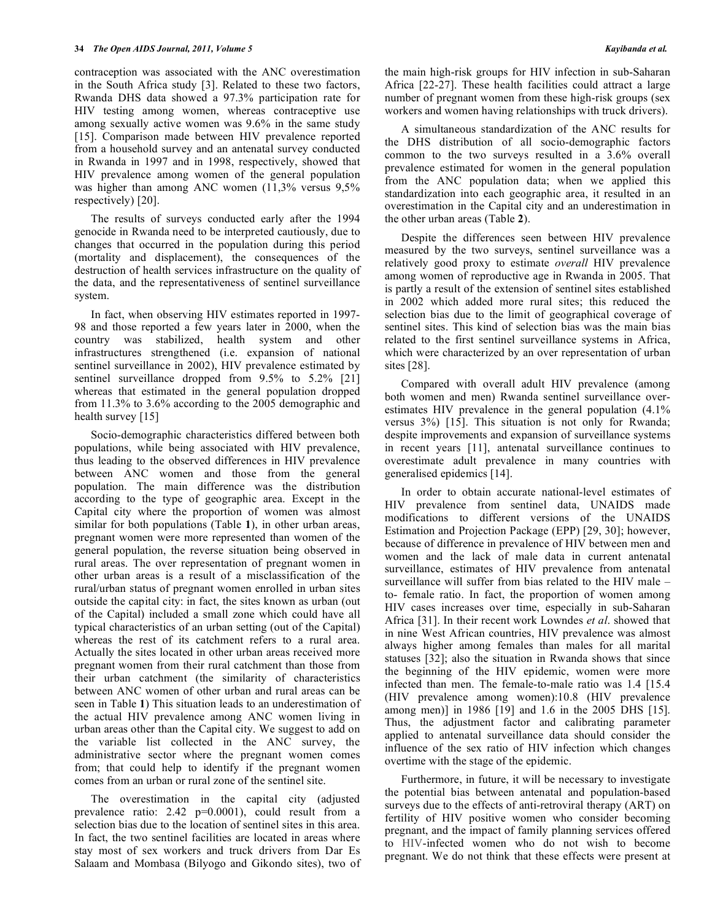contraception was associated with the ANC overestimation in the South Africa study [3]. Related to these two factors, Rwanda DHS data showed a 97.3% participation rate for HIV testing among women, whereas contraceptive use among sexually active women was 9.6% in the same study [15]. Comparison made between HIV prevalence reported from a household survey and an antenatal survey conducted in Rwanda in 1997 and in 1998, respectively, showed that HIV prevalence among women of the general population was higher than among ANC women  $(11,3\%$  versus 9.5% respectively) [20].

 The results of surveys conducted early after the 1994 genocide in Rwanda need to be interpreted cautiously, due to changes that occurred in the population during this period (mortality and displacement), the consequences of the destruction of health services infrastructure on the quality of the data, and the representativeness of sentinel surveillance system.

 In fact, when observing HIV estimates reported in 1997- 98 and those reported a few years later in 2000, when the country was stabilized, health system and other infrastructures strengthened (i.e. expansion of national sentinel surveillance in 2002), HIV prevalence estimated by sentinel surveillance dropped from 9.5% to 5.2% [21] whereas that estimated in the general population dropped from 11.3% to 3.6% according to the 2005 demographic and health survey [15]

 Socio-demographic characteristics differed between both populations, while being associated with HIV prevalence, thus leading to the observed differences in HIV prevalence between ANC women and those from the general population. The main difference was the distribution according to the type of geographic area. Except in the Capital city where the proportion of women was almost similar for both populations (Table **1**), in other urban areas, pregnant women were more represented than women of the general population, the reverse situation being observed in rural areas. The over representation of pregnant women in other urban areas is a result of a misclassification of the rural/urban status of pregnant women enrolled in urban sites outside the capital city: in fact, the sites known as urban (out of the Capital) included a small zone which could have all typical characteristics of an urban setting (out of the Capital) whereas the rest of its catchment refers to a rural area. Actually the sites located in other urban areas received more pregnant women from their rural catchment than those from their urban catchment (the similarity of characteristics between ANC women of other urban and rural areas can be seen in Table **1**) This situation leads to an underestimation of the actual HIV prevalence among ANC women living in urban areas other than the Capital city. We suggest to add on the variable list collected in the ANC survey, the administrative sector where the pregnant women comes from; that could help to identify if the pregnant women comes from an urban or rural zone of the sentinel site.

 The overestimation in the capital city (adjusted prevalence ratio: 2.42 p=0.0001), could result from a selection bias due to the location of sentinel sites in this area. In fact, the two sentinel facilities are located in areas where stay most of sex workers and truck drivers from Dar Es Salaam and Mombasa (Bilyogo and Gikondo sites), two of the main high-risk groups for HIV infection in sub-Saharan Africa [22-27]. These health facilities could attract a large number of pregnant women from these high-risk groups (sex workers and women having relationships with truck drivers).

 A simultaneous standardization of the ANC results for the DHS distribution of all socio-demographic factors common to the two surveys resulted in a 3.6% overall prevalence estimated for women in the general population from the ANC population data; when we applied this standardization into each geographic area, it resulted in an overestimation in the Capital city and an underestimation in the other urban areas (Table **2**).

 Despite the differences seen between HIV prevalence measured by the two surveys, sentinel surveillance was a relatively good proxy to estimate *overall* HIV prevalence among women of reproductive age in Rwanda in 2005. That is partly a result of the extension of sentinel sites established in 2002 which added more rural sites; this reduced the selection bias due to the limit of geographical coverage of sentinel sites. This kind of selection bias was the main bias related to the first sentinel surveillance systems in Africa, which were characterized by an over representation of urban sites [28].

 Compared with overall adult HIV prevalence (among both women and men) Rwanda sentinel surveillance overestimates HIV prevalence in the general population (4.1% versus 3%) [15]. This situation is not only for Rwanda; despite improvements and expansion of surveillance systems in recent years [11], antenatal surveillance continues to overestimate adult prevalence in many countries with generalised epidemics [14].

 In order to obtain accurate national-level estimates of HIV prevalence from sentinel data, UNAIDS made modifications to different versions of the UNAIDS Estimation and Projection Package (EPP) [29, 30]; however, because of difference in prevalence of HIV between men and women and the lack of male data in current antenatal surveillance, estimates of HIV prevalence from antenatal surveillance will suffer from bias related to the HIV male – to- female ratio. In fact, the proportion of women among HIV cases increases over time, especially in sub-Saharan Africa [31]. In their recent work Lowndes *et al*. showed that in nine West African countries, HIV prevalence was almost always higher among females than males for all marital statuses [32]; also the situation in Rwanda shows that since the beginning of the HIV epidemic, women were more infected than men. The female-to-male ratio was 1.4 [15.4 (HIV prevalence among women):10.8 (HIV prevalence among men)] in 1986 [19] and 1.6 in the 2005 DHS [15]. Thus, the adjustment factor and calibrating parameter applied to antenatal surveillance data should consider the influence of the sex ratio of HIV infection which changes overtime with the stage of the epidemic.

 Furthermore, in future, it will be necessary to investigate the potential bias between antenatal and population-based surveys due to the effects of anti-retroviral therapy (ART) on fertility of HIV positive women who consider becoming pregnant, and the impact of family planning services offered to HIV-infected women who do not wish to become pregnant. We do not think that these effects were present at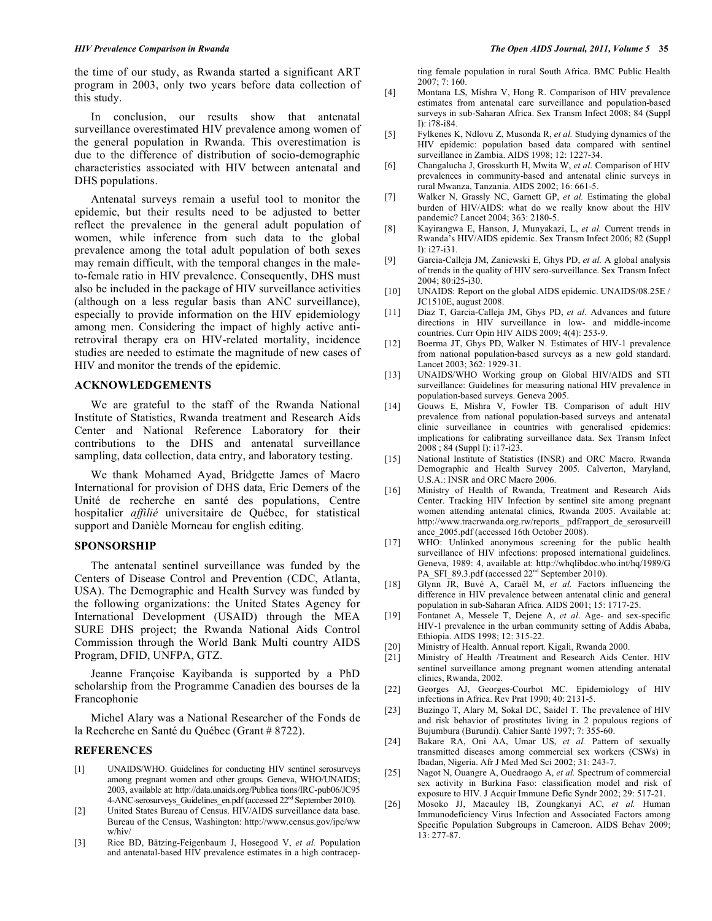the time of our study, as Rwanda started a significant ART program in 2003, only two years before data collection of this study.

 In conclusion, our results show that antenatal surveillance overestimated HIV prevalence among women of the general population in Rwanda. This overestimation is due to the difference of distribution of socio-demographic characteristics associated with HIV between antenatal and DHS populations.

 Antenatal surveys remain a useful tool to monitor the epidemic, but their results need to be adjusted to better reflect the prevalence in the general adult population of women, while inference from such data to the global prevalence among the total adult population of both sexes may remain difficult, with the temporal changes in the maleto-female ratio in HIV prevalence. Consequently, DHS must also be included in the package of HIV surveillance activities (although on a less regular basis than ANC surveillance), especially to provide information on the HIV epidemiology among men. Considering the impact of highly active antiretroviral therapy era on HIV-related mortality, incidence studies are needed to estimate the magnitude of new cases of HIV and monitor the trends of the epidemic.

# **ACKNOWLEDGEMENTS**

 We are grateful to the staff of the Rwanda National Institute of Statistics, Rwanda treatment and Research Aids Center and National Reference Laboratory for their contributions to the DHS and antenatal surveillance sampling, data collection, data entry, and laboratory testing.

 We thank Mohamed Ayad, Bridgette James of Macro International for provision of DHS data, Eric Demers of the Unité de recherche en santé des populations, Centre hospitalier *affilié* universitaire de Québec, for statistical support and Danièle Morneau for english editing.

### **SPONSORSHIP**

 The antenatal sentinel surveillance was funded by the Centers of Disease Control and Prevention (CDC, Atlanta, USA). The Demographic and Health Survey was funded by the following organizations: the United States Agency for International Development (USAID) through the MEA SURE DHS project; the Rwanda National Aids Control Commission through the World Bank Multi country AIDS Program, DFID, UNFPA, GTZ.

 Jeanne Françoise Kayibanda is supported by a PhD scholarship from the Programme Canadien des bourses de la Francophonie

 Michel Alary was a National Researcher of the Fonds de la Recherche en Santé du Québec (Grant # 8722).

### **REFERENCES**

- [1] UNAIDS/WHO. Guidelines for conducting HIV sentinel serosurveys among pregnant women and other groups. Geneva, WHO/UNAIDS; 2003, available at: http://data.unaids.org/Publica tions/IRC-pub06/JC95 4-ANC-serosurveys\_Guidelines\_en.pdf (accessed 22nd September 2010).
- [2] United States Bureau of Census. HIV/AIDS surveillance data base. Bureau of the Census, Washington: http://www.census.gov/ipc/ww w/hiv/
- [3] Rice BD, Bätzing-Feigenbaum J, Hosegood V, *et al.* Population and antenatal-based HIV prevalence estimates in a high contracep-

ting female population in rural South Africa. BMC Public Health 2007; 7: 160.

- [4] Montana LS, Mishra V, Hong R. Comparison of HIV prevalence estimates from antenatal care surveillance and population-based surveys in sub-Saharan Africa. Sex Transm Infect 2008; 84 (Suppl I): i78-i84.
- [5] Fylkenes K, Ndlovu Z, Musonda R, *et al.* Studying dynamics of the HIV epidemic: population based data compared with sentinel surveillance in Zambia. AIDS 1998; 12: 1227-34.
- [6] Changalucha J, Grosskurth H, Mwita W, *et al*. Comparison of HIV prevalences in community-based and antenatal clinic surveys in rural Mwanza, Tanzania. AIDS 2002; 16: 661-5.
- [7] Walker N, Grassly NC, Garnett GP, *et al.* Estimating the global burden of HIV/AIDS: what do we really know about the HIV pandemic? Lancet 2004; 363: 2180-5.
- [8] Kayirangwa E, Hanson, J, Munyakazi, L, *et al.* Current trends in Rwanda's HIV/AIDS epidemic. Sex Transm Infect 2006; 82 (Suppl I): i27-i31.
- [9] Garcia-Calleja JM, Zaniewski E, Ghys PD, *et al.* A global analysis of trends in the quality of HIV sero-surveillance. Sex Transm Infect  $2004:80:125-130$
- [10] UNAIDS: Report on the global AIDS epidemic. UNAIDS/08.25E / JC1510E, august 2008.
- [11] Diaz T, Garcia-Calleja JM, Ghys PD, *et al.* Advances and future directions in HIV surveillance in low- and middle-income countries. Curr Opin HIV AIDS 2009; 4(4): 253-9.
- [12] Boerma JT, Ghys PD, Walker N. Estimates of HIV-1 prevalence from national population-based surveys as a new gold standard. Lancet 2003; 362: 1929-31.
- [13] UNAIDS/WHO Working group on Global HIV/AIDS and STI surveillance: Guidelines for measuring national HIV prevalence in population-based surveys. Geneva 2005.
- [14] Gouws E, Mishra V, Fowler TB. Comparison of adult HIV prevalence from national population-based surveys and antenatal clinic surveillance in countries with generalised epidemics: implications for calibrating surveillance data. Sex Transm Infect 2008 ; 84 (Suppl I): i17-i23.
- [15] National Institute of Statistics (INSR) and ORC Macro. Rwanda Demographic and Health Survey 2005*.* Calverton, Maryland, U.S.A.: INSR and ORC Macro 2006.
- [16] Ministry of Health of Rwanda, Treatment and Research Aids Center. Tracking HIV Infection by sentinel site among pregnant women attending antenatal clinics, Rwanda 2005. Available at: http://www.tracrwanda.org.rw/reports\_ pdf/rapport\_de\_serosurveill ance 2005.pdf (accessed 16th October 2008).
- [17] WHO: Unlinked anonymous screening for the public health surveillance of HIV infections: proposed international guidelines. Geneva, 1989: 4, available at: http://whqlibdoc.who.int/hq/1989/G PA\_SFI\_89.3.pdf (accessed  $22<sup>nd</sup>$  September 2010).
- [18] Glynn JR, Buvé A, Caraël M, *et al.* Factors influencing the difference in HIV prevalence between antenatal clinic and general population in sub-Saharan Africa. AIDS 2001; 15: 1717-25.
- [19] Fontanet A, Messele T, Dejene A, *et al*. Age- and sex-specific HIV-1 prevalence in the urban community setting of Addis Ababa, Ethiopia. AIDS 1998; 12: 315-22.
- [20] Ministry of Health. Annual report. Kigali, Rwanda 2000.
- Ministry of Health /Treatment and Research Aids Center. HIV sentinel surveillance among pregnant women attending antenatal clinics, Rwanda, 2002.
- [22] Georges AJ, Georges-Courbot MC. Epidemiology of HIV infections in Africa. Rev Prat 1990; 40: 2131-5.
- [23] Buzingo T, Alary M, Sokal DC, Saidel T. The prevalence of HIV and risk behavior of prostitutes living in 2 populous regions of Bujumbura (Burundi). Cahier Santé 1997; 7: 355-60.
- [24] Bakare RA, Oni AA, Umar US, *et al.* Pattern of sexually transmitted diseases among commercial sex workers (CSWs) in Ibadan, Nigeria. Afr J Med Med Sci 2002; 31: 243-7.
- [25] Nagot N, Ouangre A, Ouedraogo A, *et al.* Spectrum of commercial sex activity in Burkina Faso: classification model and risk of exposure to HIV. J Acquir Immune Defic Syndr 2002; 29: 517-21.
- [26] Mosoko JJ, Macauley IB, Zoungkanyi AC, *et al.* Human Immunodeficiency Virus Infection and Associated Factors among Specific Population Subgroups in Cameroon. AIDS Behav 2009; 13: 277-87.